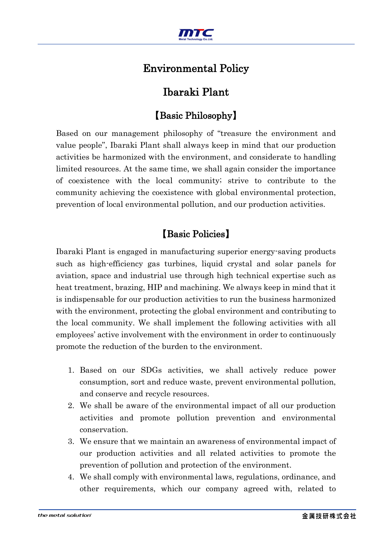

## Environmental Policy

## Ibaraki Plant

## 【Basic Philosophy】

Based on our management philosophy of "treasure the environment and value people", Ibaraki Plant shall always keep in mind that our production activities be harmonized with the environment, and considerate to handling limited resources. At the same time, we shall again consider the importance of coexistence with the local community; strive to contribute to the community achieving the coexistence with global environmental protection, prevention of local environmental pollution, and our production activities.

## 【Basic Policies】

Ibaraki Plant is engaged in manufacturing superior energy-saving products such as high-efficiency gas turbines, liquid crystal and solar panels for aviation, space and industrial use through high technical expertise such as heat treatment, brazing, HIP and machining. We always keep in mind that it is indispensable for our production activities to run the business harmonized with the environment, protecting the global environment and contributing to the local community. We shall implement the following activities with all employees' active involvement with the environment in order to continuously promote the reduction of the burden to the environment.

- 1. Based on our SDGs activities, we shall actively reduce power consumption, sort and reduce waste, prevent environmental pollution, and conserve and recycle resources.
- 2. We shall be aware of the environmental impact of all our production activities and promote pollution prevention and environmental conservation.
- 3. We ensure that we maintain an awareness of environmental impact of our production activities and all related activities to promote the prevention of pollution and protection of the environment.
- 4. We shall comply with environmental laws, regulations, ordinance, and other requirements, which our company agreed with, related to